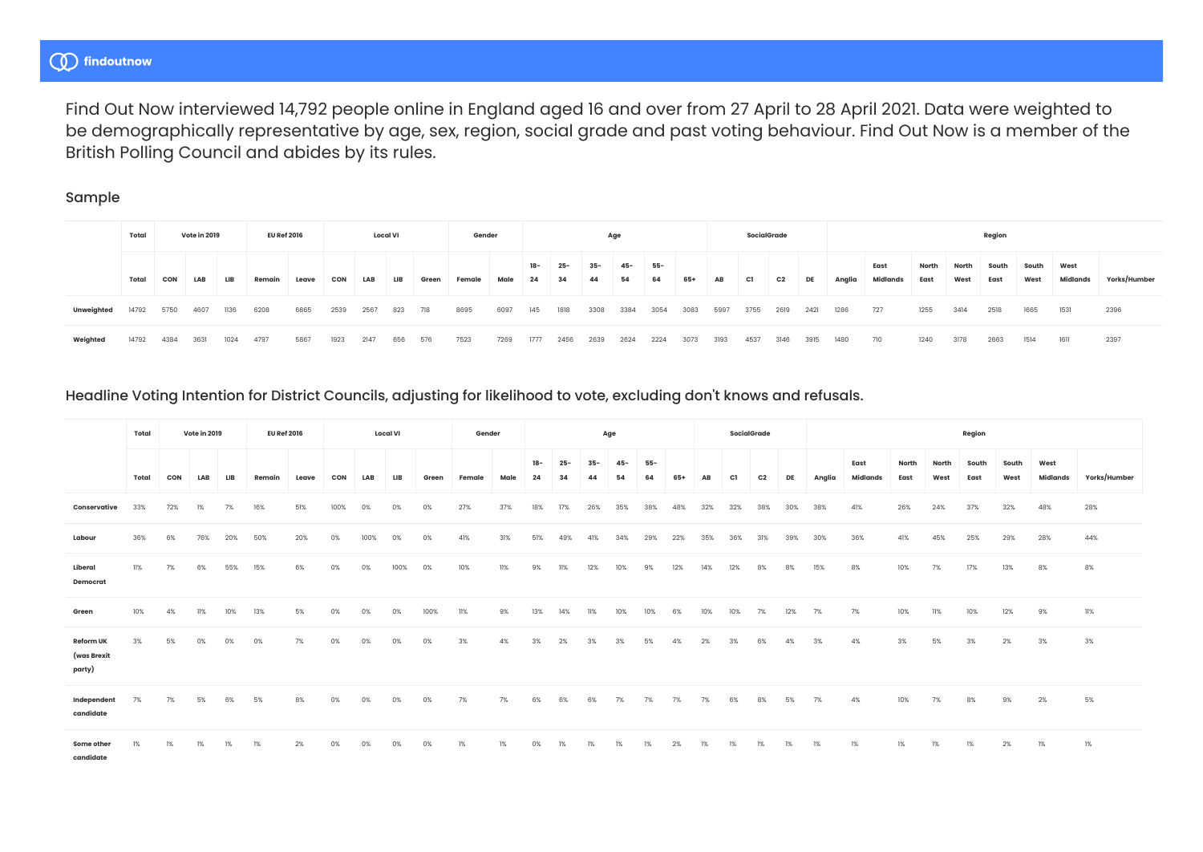# (1) findoutnow

Find Out Now interviewed 14,792 people online in England aged 16 and over from 27 April to 28 April 2021. Data were weighted to be demographically representative by age, sex, region, social grade and past voting behaviour. Find Out Now is a member of the British Polling Council and abides by its rules.

### Sample

|            | Total |      | Vote in 2019 |      | <b>EU Ref 2016</b> |       |            |      | <b>Local VI</b> |       | Gender |      |             |              |              | Age          |           |      |      | SocialGrade |      |      |        |                  |               |               | Region        |               |                  |              |
|------------|-------|------|--------------|------|--------------------|-------|------------|------|-----------------|-------|--------|------|-------------|--------------|--------------|--------------|-----------|------|------|-------------|------|------|--------|------------------|---------------|---------------|---------------|---------------|------------------|--------------|
|            | Total | CON  | LAB          | LIB  | Remain             | Leave | <b>CON</b> | LAB  | LIB             | Green | Female | Male | $18-$<br>24 | $25 -$<br>34 | $35 -$<br>44 | $45 -$<br>54 | 55-<br>64 | 65+  | AB   | C1          | C2   | DE   | Anglia | East<br>Midlands | North<br>East | North<br>West | South<br>East | South<br>West | West<br>Midlands | Yorks/Humber |
| Unweighted | 14792 | 5750 | 4607         | 1136 | 6208               | 6865  | 2539       | 2567 | 823             | 718   | 8695   | 6097 | 145         | 1818         | 3308         | 3384         | 3054      | 3083 | 5997 | 3755        | 2619 | 2421 | 1286   | 727              | 1255          | 3414          | 2518          | 1665          | 1531             | 2396         |
| Weighted   | 14792 | 4384 | 3631         | 1024 | 4797               | 5867  | 1923       | 2147 | 656             | 576   | 7523   | 7269 | 1777        | 2456         | 2639         | 2624         | 2224      | 3073 | 3193 | 4537        | 3146 | 3915 | 1480   | 710              | 1240          | 3178          | 2663          | 1514          | 1611             | 2397         |

## Headline Voting Intention for District Councils, adjusting for likelihood to vote, excluding don't knows and refusals.

|                                           | Total |     | Vote in 2019 |     | <b>EU Ref 2016</b> |       |      |     | <b>Local VI</b> |       | Gender |      |              |        |       | Age    |       |     |     |     | SocialGrade    |     |        |                  |               |               | Region        |               |                  |              |
|-------------------------------------------|-------|-----|--------------|-----|--------------------|-------|------|-----|-----------------|-------|--------|------|--------------|--------|-------|--------|-------|-----|-----|-----|----------------|-----|--------|------------------|---------------|---------------|---------------|---------------|------------------|--------------|
|                                           | Total | CON | LAB          |     | Remair             | Leave | CON  | LAB | LIB             | Green | Female | Male | $18 -$<br>24 | $25 -$ | $35-$ | $45 -$ | $55-$ |     |     |     | C <sub>2</sub> | DE  | Anglia | East<br>Midlands | North<br>East | North<br>West | South<br>East | South<br>West | West<br>Midlands | Yorks/Humber |
| Conservative                              | 33%   | 72% | 1%           | 7%  | 16%                | 51%   | 100% | 0%  | 0%              | 0%    | 27%    | 37%  | 18%          | 17%    | 26%   | 35%    | 38%   |     | 32% | 32% |                |     | 38%    | 41%              | 26%           | 24%           | 37%           | 32%           | 48%              | 28%          |
| Labour                                    | 36%   | 6%  |              |     | 50%                | 20%   |      |     | 0%              |       |        |      |              |        |       |        | 29%   | 22% | 35% | 36% |                |     |        | 36%              | 41%           | 45%           | 25%           | 29%           | 28%              | 44%          |
| Liberal<br>Democrat                       | 11%   | 7%  | 6%           | 55% | 15%                | 6%    | 0%   | 0%  | 100%            | 0%    | 10%    | 11%  | 9%           |        | 12%   | 10%    | 9%    | 12% | 14% | 12% |                |     | 15%    | 8%               | 10%           | 7%            | 17%           | 13%           | 8%               | 8%           |
| Green                                     | 10%   | 4%  |              | 10% | 13%                | 5%    | 0%   | 0%  | 0%              | 100%  | 11%    | 9%   | 13%          |        | 11%   | 10%    | 10%   | 6%  | 10% | 10% | 7%             | 12% | 7%     | 7%               | 10%           | 11%           | 10%           | 12%           | 9%               | 11%          |
| <b>Reform UK</b><br>(was Brexit<br>party) | 3%    | 5%  | 0%           | 0%  | 0%                 | 7%    | 0%   | 0%  | 0%              | 0%    | 3%     | 4%   | 3%           | 2%     | 3%    | 3%     | 5%    | 4%  | 2%  | 3%  | 6%             | 4%  | 3%     | 4%               | 3%            | 5%            | 3%            | 2%            | 3%               | 3%           |
| Independent<br>candidate                  | 7%    | 7%  | 5%           | 6Y  | 5%                 | 8%    |      |     |                 | 0%    | 7%     | 7%   | 6%           | 6%     | 6%    | 7%     | 7%    | 7%  | 7%  | 6%  | 8%             | 5%  | 7%     | 4%               | 10%           | 7%            | 8%            | 9%            | 2%               | 5%           |
| Some other<br>candidate                   | 1%    | 1%  | 1%           | 1%  | 1%                 | 2%    | 0%   | 0%  | 0%              | 0%    | 1%     | 1%   | 0%           | 1%     | 1%    | 1%     | 1%    | 2%  | 1%  | 1%  | 1%             | 1%  | 1%     | 1%               | 1%            | 1%            | 1%            | 2%            | 1%               | 1%           |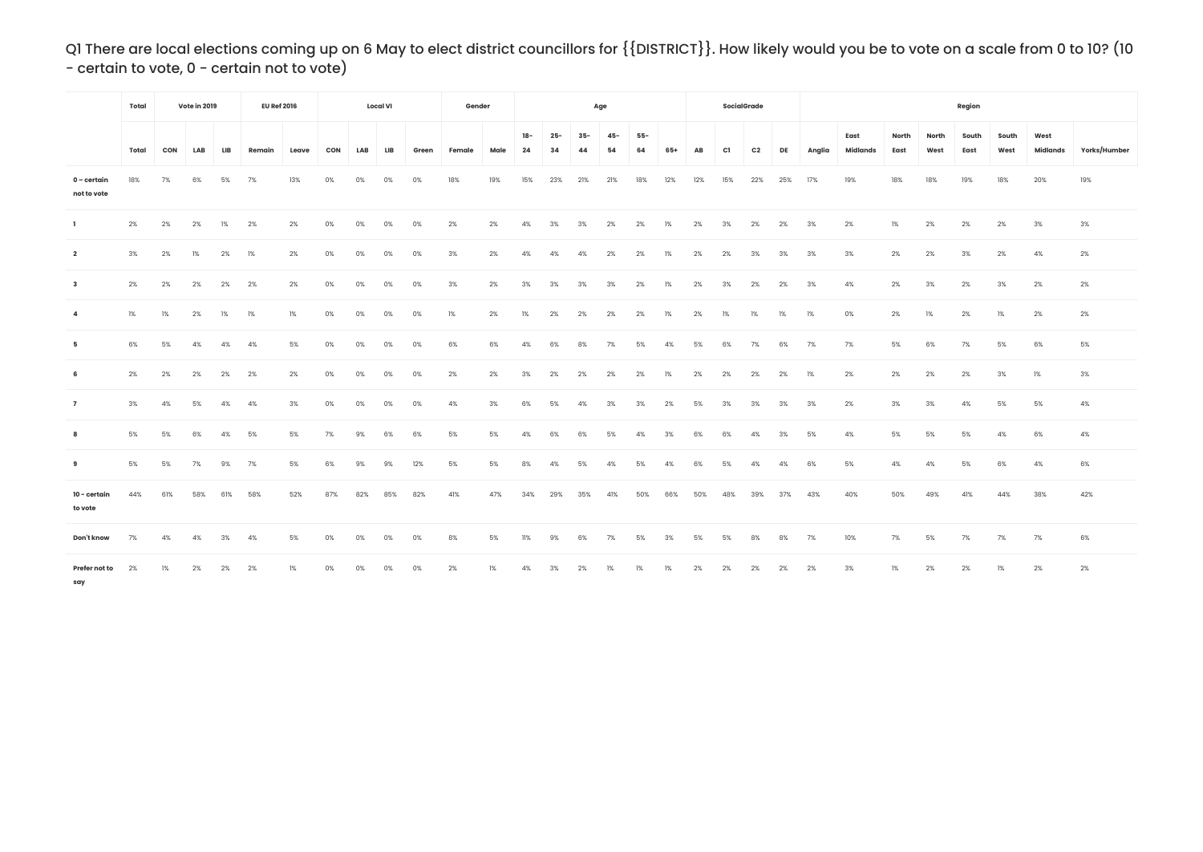Q1 There are local elections coming up on 6 May to elect district councillors for {{DISTRICT}}. How likely would you be to vote on a scale from 0 to 10? (10 - certain to vote, 0 - certain not to vote)

|                            | Total |     | Vote in 2019 |            | <b>EU Ref 2016</b> |       |            |     | <b>Local VI</b> |       | Gender |      |           |              |              | Age          |             |     |     |     | <b>SocialGrade</b> |     |        |                  |               |               | Region        |               |                  |              |
|----------------------------|-------|-----|--------------|------------|--------------------|-------|------------|-----|-----------------|-------|--------|------|-----------|--------------|--------------|--------------|-------------|-----|-----|-----|--------------------|-----|--------|------------------|---------------|---------------|---------------|---------------|------------------|--------------|
|                            | Total | CON | LAB          | <b>LIB</b> | Remain             | Leave | <b>CON</b> | LAB | LIB             | Green | Female | Male | 18-<br>24 | $25 -$<br>34 | $35 -$<br>44 | $45 -$<br>54 | $55-$<br>64 | 65+ | AB  | C1  | C <sub>2</sub>     | DE  | Anglia | East<br>Midlands | North<br>East | North<br>West | South<br>East | South<br>West | West<br>Midlands | Yorks/Humber |
| 0 – certain<br>not to vote | 18%   | 7%  | 6%           | 5%         | 7%                 | 13%   | 0%         | 0%  | 0%              | 0%    | 18%    | 19%  | 15%       | 23%          | 21%          | 21%          | 18%         | 12% | 12% | 15% | 22%                | 25% | 17%    | 19%              | 18%           | 18%           | 19%           | 18%           | 20%              | 19%          |
| $\mathbf{1}$               | 2%    | 2%  | 2%           | 1%         | 2%                 | 2%    | 0%         | 0%  | 0%              | 0%    | 2%     | 2%   | 4%        | 3%           | 3%           | 2%           | 2%          | 1%  | 2%  | 3%  | 2%                 | 2%  | 3%     | 2%               | 1%            | 2%            | 2%            | 2%            | 3%               | 3%           |
| $\overline{2}$             | 3%    | 2%  | 1%           | 2%         | 1%                 | 2%    | 0%         | 0%  | 0%              | 0%    | 3%     | 2%   | 4%        | 4%           | 4%           | 2%           | 2%          | 1%  | 2%  | 2%  | 3%                 | 3%  | 3%     | 3%               | 2%            | 2%            | 3%            | 2%            | 4%               | 2%           |
| $\overline{\mathbf{3}}$    | 2%    | 2%  | 2%           | 2%         | 2%                 | 2%    | 0%         | 0%  | 0%              | 0%    | 3%     | 2%   | 3%        | 3%           | 3%           | 3%           | 2%          | 1%  | 2%  | 3%  | 2%                 | 2%  | 3%     | 4%               | 2%            | 3%            | 2%            | 3%            | 2%               | 2%           |
| $\overline{a}$             | 1%    | 1%  | 2%           | 1%         | 1%                 | 1%    | 0%         | 0%  | 0%              | 0%    | 1%     | 2%   | 1%        | 2%           | 2%           | 2%           | 2%          | 1%  | 2%  | 1%  | 1%                 | 1%  | 1%     | 0%               | 2%            | 1%            | 2%            | 1%            | 2%               | 2%           |
| 5                          | 6%    | 5%  | 4%           | 4%         | 4%                 | 5%    | 0%         | 0%  | 0%              | 0%    | 6%     | 6%   | 4%        | 6%           | 8%           | 7%           | 5%          | 4%  | 5%  | 6%  | 7%                 | 6%  | 7%     | 7%               | 5%            | 6%            | 7%            | 5%            | 6%               | 5%           |
| 6                          | 2%    | 2%  | 2%           | 2%         | 2%                 | 2%    | 0%         | 0%  | 0%              | 0%    | 2%     | 2%   | 3%        | 2%           | 2%           | 2%           | 2%          | 1%  | 2%  | 2%  | 2%                 | 2%  | 1%     | 2%               | 2%            | 2%            | 2%            | 3%            | 1%               | 3%           |
| $\overline{7}$             | 3%    | 4%  | 5%           | 4%         | 4%                 | 3%    | 0%         | 0%  | 0%              | 0%    | 4%     | 3%   | 6%        | 5%           | 4%           | 3%           | 3%          | 2%  | 5%  | 3%  | 3%                 | 3%  | 3%     | 2%               | 3%            | 3%            | 4%            | 5%            | 5%               | 4%           |
| 8                          | 5%    | 5%  | 6%           | 4%         | 5%                 | 5%    | 7%         | 9%  | 6%              | 6%    | 5%     | 5%   | 4%        | 6%           | 6%           | 5%           | 4%          | 3%  | 6%  | 6%  | 4%                 | 3%  | 5%     | 4%               | 5%            | 5%            | 5%            | 4%            | 6%               | 4%           |
| 9                          | 5%    | 5%  | 7%           | 9%         | 7%                 | 5%    | 6%         | 9%  | 9%              | 12%   | 5%     | 5%   | 8%        | 4%           | 5%           | 4%           | 5%          | 4%  | 6%  | 5%  | 4%                 | 4%  | 6%     | 5%               | 4%            | 4%            | 5%            | 6%            | 4%               | 6%           |
| 10 - certain<br>to vote    | 44%   | 61% | 58%          | 61%        | 58%                | 52%   | 87%        | 82% | 85%             | 82%   | 41%    | 47%  | 34%       | 29%          | 35%          | 41%          | 50%         | 66% | 50% | 48% | 39%                | 37% | 43%    | 40%              | 50%           | 49%           | 41%           | 44%           | 38%              | 42%          |
| Don't know                 | 7%    | 4%  | 4%           | 3%         | 4%                 | 5%    | 0%         | 0%  | 0%              | 0%    | 8%     | 5%   | 11%       | 9%           | 6%           | 7%           | 5%          | 3%  | 5%  | 5%  | 8%                 | 8%  | 7%     | 10%              | 7%            | 5%            | 7%            | 7%            | 7%               | 6%           |
| Prefer not to<br>say       | 2%    | 1%  | 2%           | 2%         | 2%                 | 1%    | 0%         |     |                 |       | 2%     | 1%   | 4%        | 3%           | 2%           | 1%           | 1%          | 1%  | 2%  | 2%  | 2%                 | 2%  | 2%     | 3%               | 1%            | 2%            | 2%            | 1%            | 2%               | 2%           |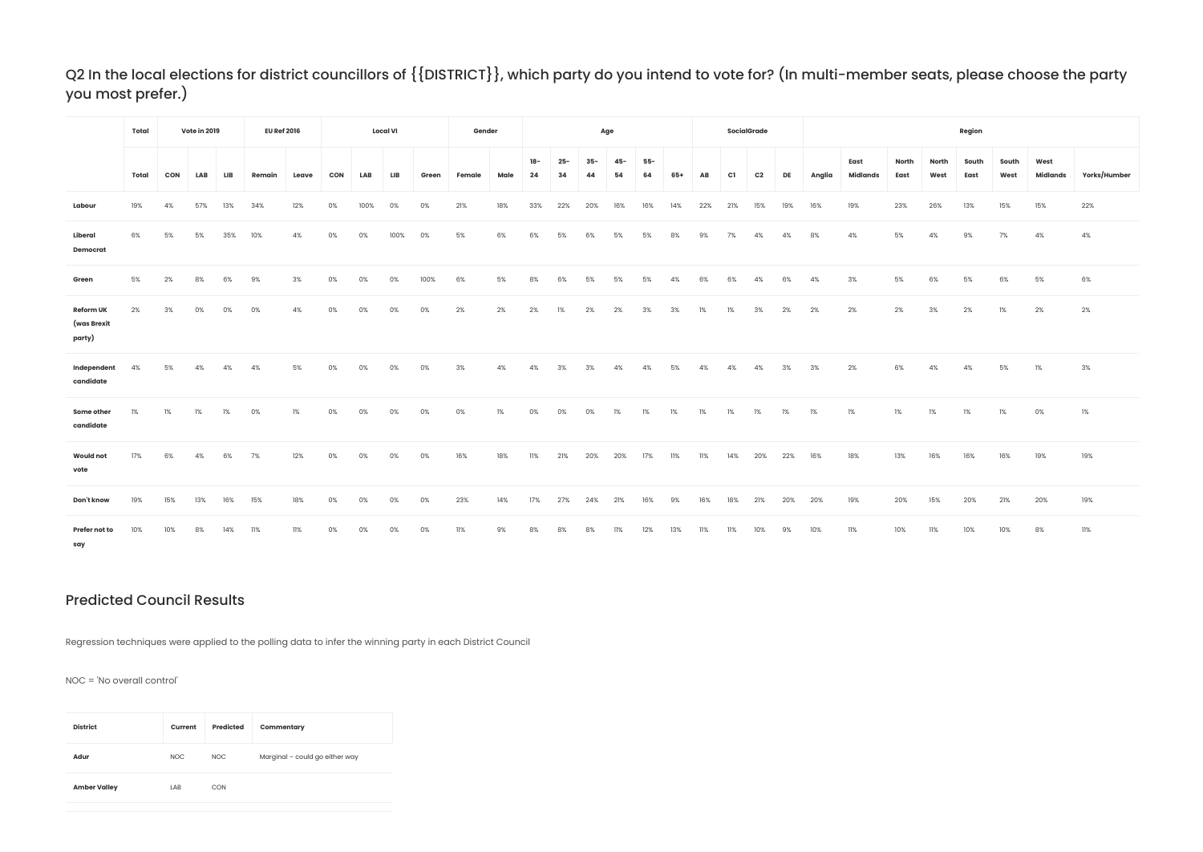## Q2 In the local elections for district councillors of {{DISTRICT}}, which party do you intend to vote for? (In multi-member seats, please choose the party you most prefer.)

|                                           | Total |     | Vote in 2019 |     | <b>EU Ref 2016</b> |       |     |      | <b>Local VI</b> |       | Gender |      |             |              |              | Age          |             |     |     |     | SocialGrade |     |        |                         |               |               | Region        |               |                  |              |
|-------------------------------------------|-------|-----|--------------|-----|--------------------|-------|-----|------|-----------------|-------|--------|------|-------------|--------------|--------------|--------------|-------------|-----|-----|-----|-------------|-----|--------|-------------------------|---------------|---------------|---------------|---------------|------------------|--------------|
|                                           | Total | CON | LAB          | LIB | Remain             | Leave | CON | LAB  | LIB             | Green | Female | Male | $18-$<br>24 | $25 -$<br>34 | $35 -$<br>44 | $45 -$<br>54 | $55-$<br>64 | 65+ | AB  | C1  | C2          | DE  | Anglia | East<br><b>Midlands</b> | North<br>East | North<br>West | South<br>East | South<br>West | West<br>Midlands | Yorks/Humber |
| Labour                                    | 19%   | 4%  | 57%          | 13% | 34%                | 12%   | 0%  | 100% | 0%              | 0%    | 21%    | 18%  | 33%         | 22%          | 20%          | 16%          | 16%         | 14% | 22% | 21% | 15%         | 19% | 16%    | 19%                     | 23%           | 26%           | 13%           | 15%           | 15%              | 22%          |
| Liberal<br>Democrat                       | 6%    | 5%  | 5%           | 35% | 10%                | 4%    |     | 0%   | 100%            | 0%    | 5%     | 6%   | 6%          | 5%           | 6%           | 5%           | 5%          | 8%  | 9%  | 7%  | 4%          | 4%  | 8%     | 4%                      | 5%            | 4%            | 9%            | 7%            | 4%               | 4%           |
| Green                                     | 5%    | 2%  | 8%           | 6%  | 9%                 | 3%    | 0%  | 0%   | 0%              | 100%  | 6%     | 5%   | 8%          | 6%           | 5%           | 5%           | 5%          | 4%  | 6%  | 6%  | 4%          | 6%  | 4%     | 3%                      | 5%            | 6%            | 5%            | 6%            | 5%               | 6%           |
| <b>Reform UK</b><br>(was Brexit<br>party) | 2%    | 3%  | 0%           | 0%  | 0%                 | 4%    | 0%  | 0%   | 0%              | 0%    | 2%     | 2%   | 2%          | 1%           | 2%           | 2%           | 3%          | 3%  | 1%  | 1%  | 3%          | 2%  | 2%     | 2%                      | 2%            | 3%            | 2%            | 1%            | 2%               | 2%           |
| Independent<br>candidate                  | 4%    | 5%  | 4%           | 4%  | 4%                 | 5%    | 0%  | 0%   | 0%              | 0%    | 3%     | 4%   | 4%          | 3%           | 3%           | 4%           | 4%          | 5%  | 4%  | 4%  | 4%          | 3%  | 3%     | 2%                      | 6%            | 4%            | 4%            | 5%            | 1%               | 3%           |
| Some other<br>candidate                   | 1%    | 1%  | 1%           | 1%  | 0%                 | 1%    | 0%  | 0%   | 0%              | 0%    | 0%     | 1%   | 0%          | 0%           | 0%           | 1%           | 1%          | 1%  | 1%  | 1%  | 1%          | 1%  | 1%     | 1%                      | 1%            | 1%            | 1%            | 1%            | 0%               | 1%           |
| <b>Would not</b><br>vote                  | 17%   | 6%  | 4%           | 6%  | 7%                 | 12%   | 0%  | 0%   | 0%              | 0%    | 16%    | 18%  | 11%         | 21%          | 20%          | 20%          | 17%         | 11% | 11% | 14% | 20%         | 22% | 16%    | 18%                     | 13%           | 16%           | 16%           | 16%           | 19%              | 19%          |
| Don't know                                | 19%   | 15% | 13%          | 16% | 15%                | 18%   |     |      | 0%              | 0%    | 23%    | 14%  | 17%         | 27%          | 24%          | 21%          | 16%         | 9%  | 16% | 18% | 21%         | 20% | 20%    | 19%                     | 20%           | 15%           | 20%           | 21%           | 20%              | 19%          |
| Prefer not to<br>say                      | 10%   | 10% | 8%           | 14% | 11%                | 11%   |     |      |                 | 0%    | 11%    | 9%   | 8%          | 8%           | 8%           | 11%          | 12%         | 13% | 11% | 11% | 10%         | 9%  | 10%    | 11%                     | 10%           | 11%           | 10%           | 10%           | 8%               | 11%          |

### Predicted Council Results

Regression techniques were applied to the polling data to infer the winning party in each District Council

NOC = 'No overall control'

| <b>District</b>     | Current | Predicted | Commentary                     |
|---------------------|---------|-----------|--------------------------------|
| Adur                | NOC.    | NOC.      | Marginal - could go either way |
| <b>Amber Valley</b> | LAB     | CON       |                                |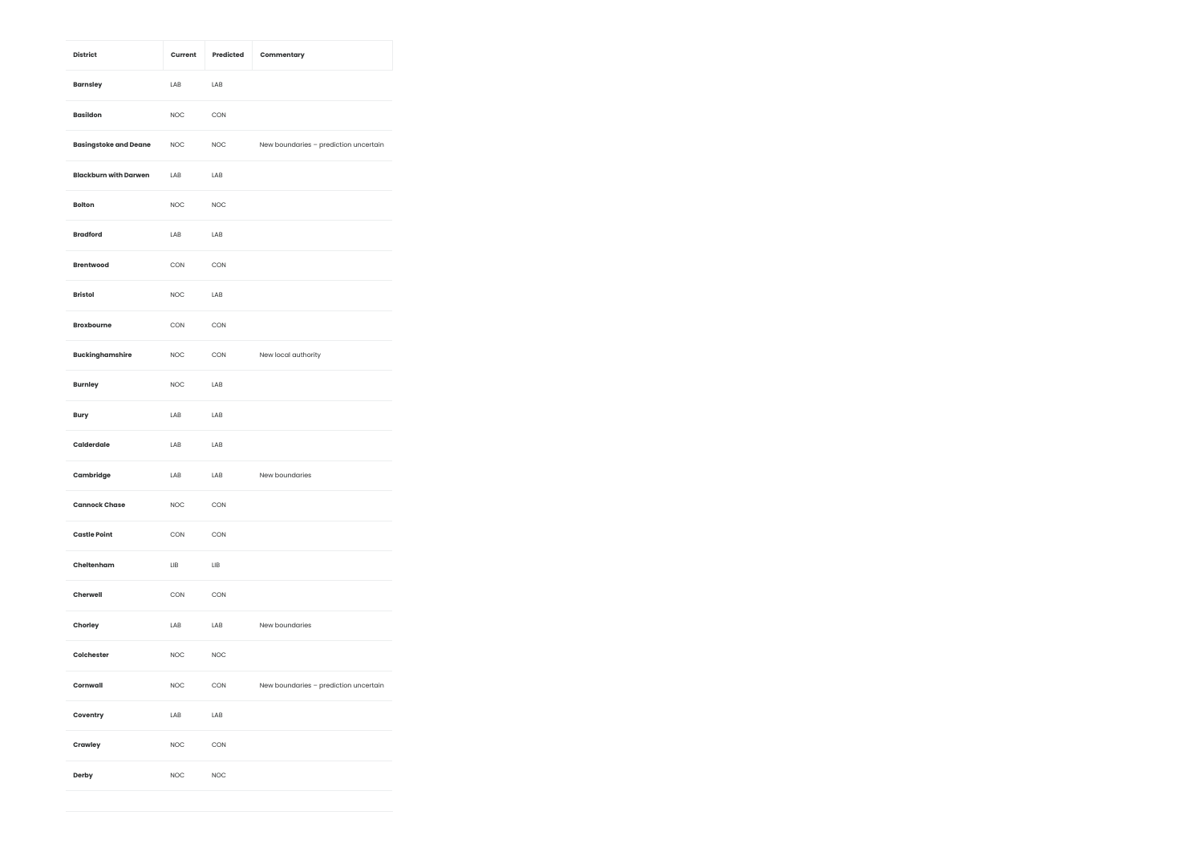| <b>District</b>              | Current    | Predicted  | Commentary                            |
|------------------------------|------------|------------|---------------------------------------|
| <b>Barnsley</b>              | LAB        | LAB        |                                       |
| <b>Basildon</b>              | <b>NOC</b> | CON        |                                       |
| <b>Basingstoke and Deane</b> | <b>NOC</b> | <b>NOC</b> | New boundaries - prediction uncertain |
| <b>Blackburn with Darwen</b> | LAB        | LAB        |                                       |
| <b>Bolton</b>                | <b>NOC</b> | <b>NOC</b> |                                       |
| <b>Bradford</b>              | LAB        | LAB        |                                       |
| <b>Brentwood</b>             | CON        | CON        |                                       |
| <b>Bristol</b>               | <b>NOC</b> | LAB        |                                       |
| <b>Broxbourne</b>            | CON        | CON        |                                       |
| <b>Buckinghamshire</b>       | <b>NOC</b> | CON        | New local authority                   |
| <b>Burnley</b>               | <b>NOC</b> | LAB        |                                       |
| <b>Bury</b>                  | LAB        | LAB        |                                       |
| Calderdale                   | LAB        | LAB        |                                       |
| Cambridge                    | LAB        | LAB        | New boundaries                        |
| <b>Cannock Chase</b>         | <b>NOC</b> | CON        |                                       |
| <b>Castle Point</b>          | CON        | CON        |                                       |
| Cheltenham                   | LIB        | LIB        |                                       |
| Cherwell                     | CON        | CON        |                                       |
| Chorley                      | LAB        | LAB        | New boundaries                        |
| Colchester                   | <b>NOC</b> | <b>NOC</b> |                                       |
| Cornwall                     | <b>NOC</b> | CON        | New boundaries - prediction uncertain |
| Coventry                     | LAB        | LAB        |                                       |
| Crawley                      | <b>NOC</b> | CON        |                                       |
| Derby                        | <b>NOC</b> | <b>NOC</b> |                                       |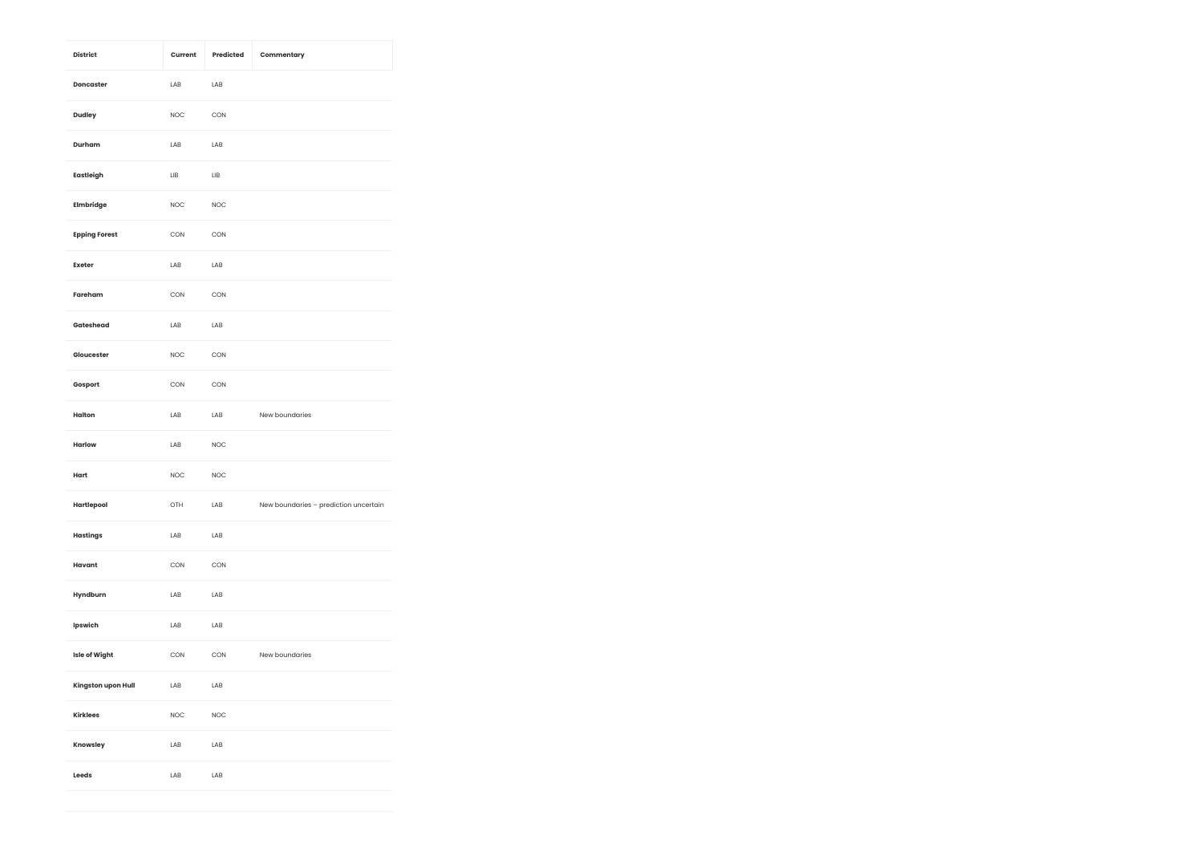| <b>District</b>      | Current     | Predicted   | Commentary                            |
|----------------------|-------------|-------------|---------------------------------------|
| Doncaster            | LAB         | LAB         |                                       |
| Dudley               | <b>NOC</b>  | CON         |                                       |
| Durham               | LAB         | LAB         |                                       |
| Eastleigh            | ЦB          | LIB         |                                       |
| Elmbridge            | <b>NOC</b>  | <b>NOC</b>  |                                       |
| <b>Epping Forest</b> | CON         | CON         |                                       |
| Exeter               | LAB         | LAB         |                                       |
| Fareham              | CON         | CON         |                                       |
| Gateshead            | LAB         | LAB         |                                       |
| Gloucester           | <b>NOC</b>  | CON         |                                       |
| Gosport              | CON         | CON         |                                       |
| Halton               | LAB         | LAB         | New boundaries                        |
| Harlow               | LAB         | <b>NOC</b>  |                                       |
| Hart                 | <b>NOC</b>  | <b>NOC</b>  |                                       |
| Hartlepool           | OTH         | LAB         | New boundaries - prediction uncertain |
| <b>Hastings</b>      | LAB         | LAB         |                                       |
| Havant               | CON         | CON         |                                       |
| Hyndburn             | LAB         | LAB         |                                       |
| Ipswich              | LAB         | LAB         |                                       |
| <b>Isle of Wight</b> | CON         | CON         | New boundaries                        |
| Kingston upon Hull   | LAB         | LAB         |                                       |
| Kirklees             | <b>NOC</b>  | <b>NOC</b>  |                                       |
| Knowsley             | LAB         | LAB         |                                       |
| Leeds                | ${\sf LAB}$ | ${\sf LAB}$ |                                       |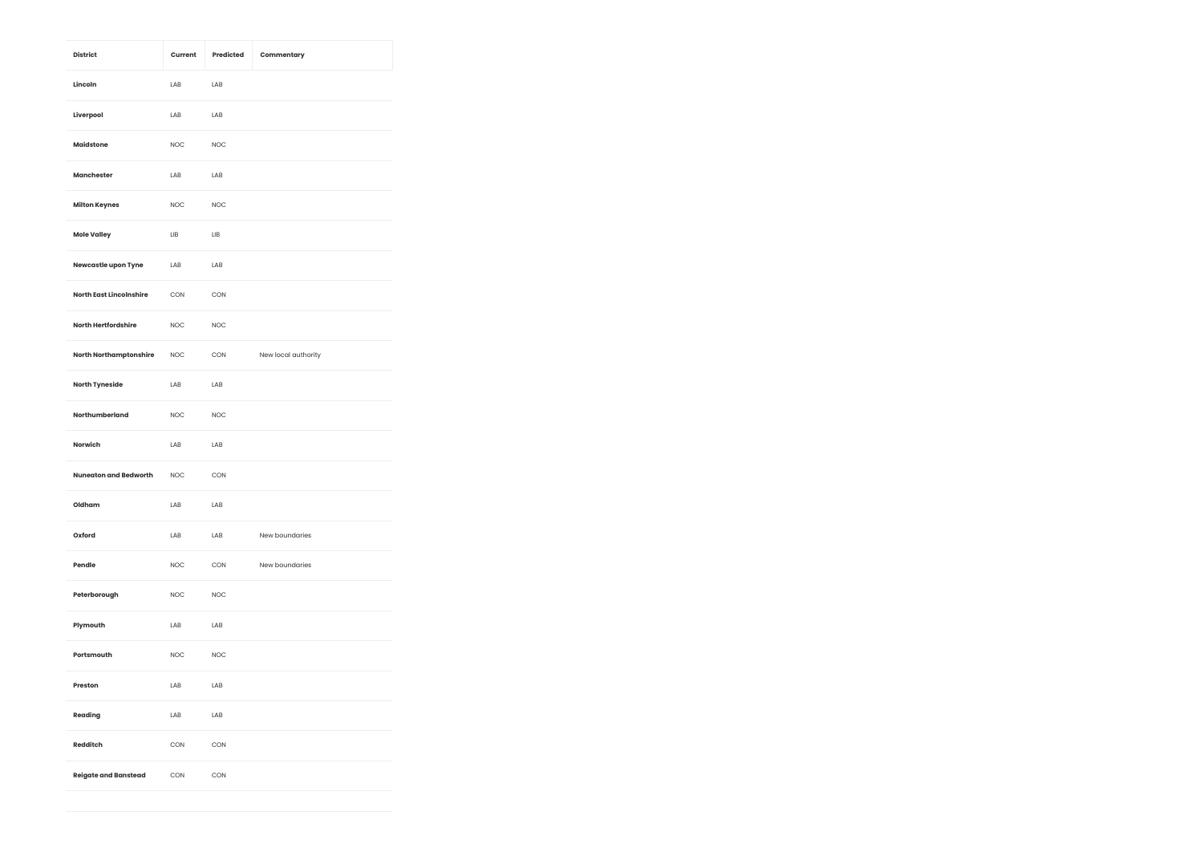| <b>District</b>                | Current     | Predicted  | Commentary          |
|--------------------------------|-------------|------------|---------------------|
| Lincoln                        | LAB         | LAB        |                     |
| Liverpool                      | LAB         | LAB        |                     |
| <b>Maidstone</b>               | <b>NOC</b>  | <b>NOC</b> |                     |
| Manchester                     | LAB         | LAB        |                     |
| <b>Milton Keynes</b>           | <b>NOC</b>  | <b>NOC</b> |                     |
| <b>Mole Valley</b>             | LIB         | LIB        |                     |
| Newcastle upon Tyne            | LAB         | LAB        |                     |
| <b>North East Lincolnshire</b> | CON         | CON        |                     |
| <b>North Hertfordshire</b>     | <b>NOC</b>  | <b>NOC</b> |                     |
| <b>North Northamptonshire</b>  | <b>NOC</b>  | CON        | New local authority |
| <b>North Tyneside</b>          | LAB         | LAB        |                     |
| Northumberland                 | <b>NOC</b>  | <b>NOC</b> |                     |
| <b>Norwich</b>                 | LAB         | LAB        |                     |
| <b>Nuneaton and Bedworth</b>   | <b>NOC</b>  | CON        |                     |
| Oldham                         | LAB         | LAB        |                     |
| Oxford                         | LAB         | LAB        | New boundaries      |
| Pendle                         | <b>NOC</b>  | CON        | New boundaries      |
| Peterborough                   | <b>NOC</b>  | <b>NOC</b> |                     |
| Plymouth                       | LAB         | LAB        |                     |
| Portsmouth                     | <b>NOC</b>  | <b>NOC</b> |                     |
| Preston                        | ${\sf LAB}$ | LAB        |                     |
| Reading                        | LAB         | LAB        |                     |
| <b>Redditch</b>                | CON         | CON        |                     |
| <b>Reigate and Banstead</b>    | CON         | CON        |                     |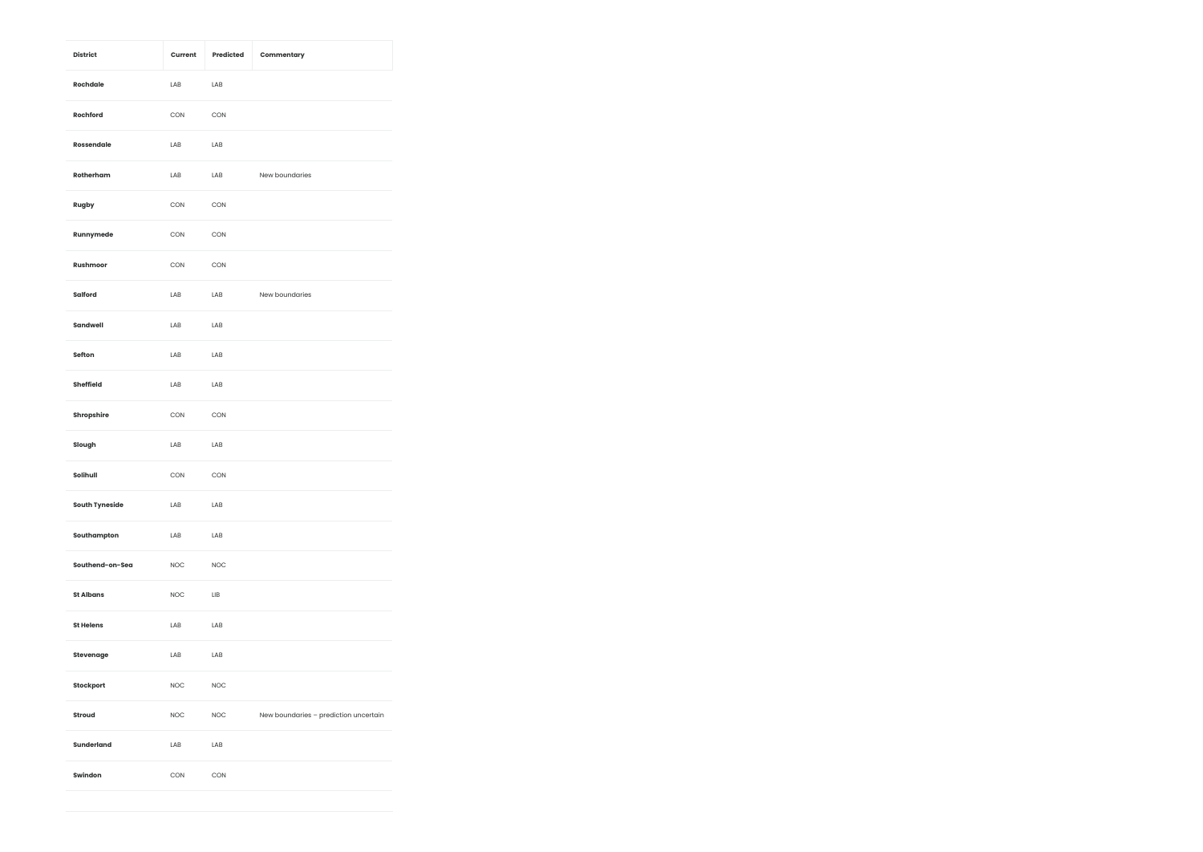| <b>District</b>       | Current    | Predicted  | Commentary                            |
|-----------------------|------------|------------|---------------------------------------|
| Rochdale              | LAB        | LAB        |                                       |
| Rochford              | CON        | CON        |                                       |
| Rossendale            | LAB        | LAB        |                                       |
| Rotherham             | LAB        | LAB        | New boundaries                        |
| Rugby                 | CON        | CON        |                                       |
| Runnymede             | CON        | CON        |                                       |
| Rushmoor              | CON        | CON        |                                       |
| Salford               | LAB        | LAB        | New boundaries                        |
| Sandwell              | LAB        | LAB        |                                       |
| Sefton                | LAB        | LAB        |                                       |
| Sheffield             | LAB        | LAB        |                                       |
| Shropshire            | CON        | CON        |                                       |
| Slough                | LAB        | LAB        |                                       |
| Solihull              | CON        | CON        |                                       |
| <b>South Tyneside</b> | LAB        | LAB        |                                       |
| Southampton           | LAB        | LAB        |                                       |
| Southend-on-Sea       | <b>NOC</b> | <b>NOC</b> |                                       |
| <b>St Albans</b>      | <b>NOC</b> | LIB        |                                       |
| <b>St Helens</b>      | LAB        | LAB        |                                       |
| Stevenage             | LAB        | LAB        |                                       |
| Stockport             | <b>NOC</b> | <b>NOC</b> |                                       |
| Stroud                | <b>NOC</b> | <b>NOC</b> | New boundaries - prediction uncertain |
| Sunderland            | LAB        | LAB        |                                       |
| Swindon               | CON        | CON        |                                       |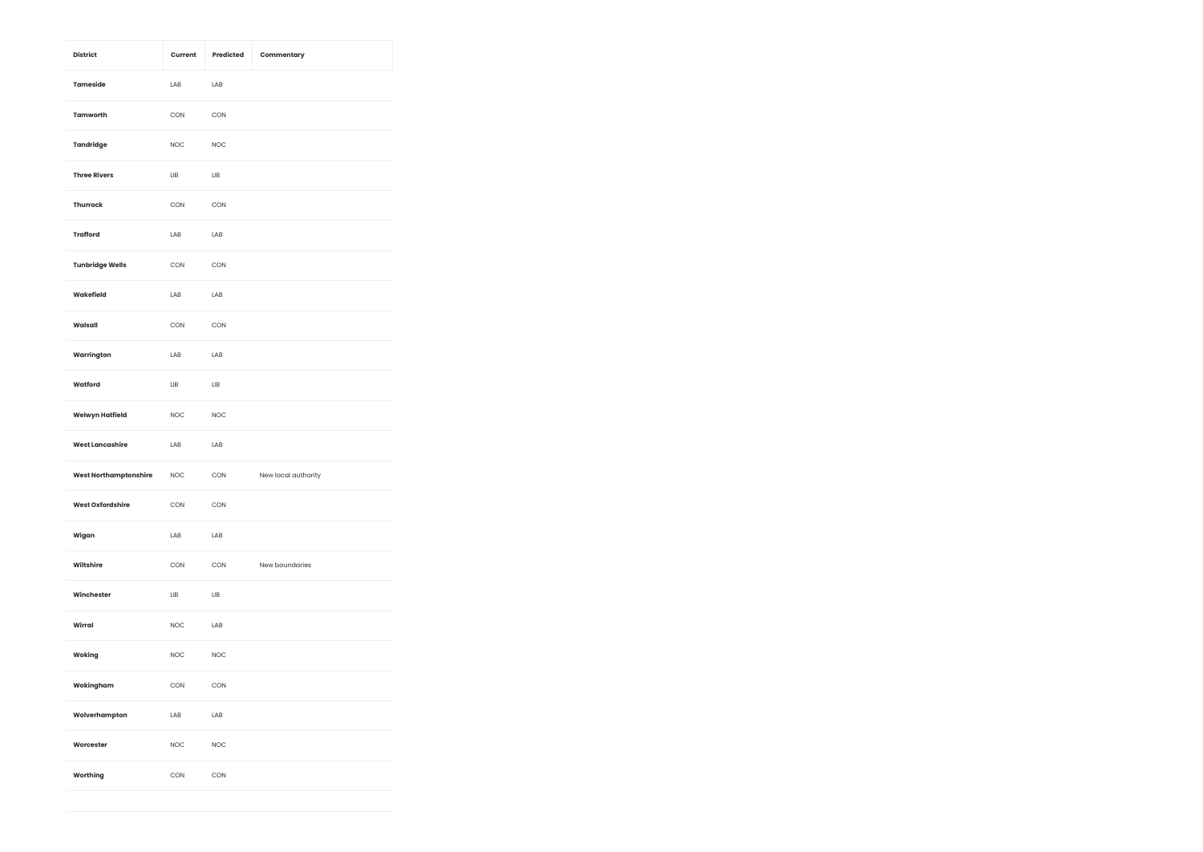| <b>District</b>              | Current    | Predicted  | Commentary          |
|------------------------------|------------|------------|---------------------|
| Tameside                     | LAB        | LAB        |                     |
| Tamworth                     | CON        | CON        |                     |
| Tandridge                    | <b>NOC</b> | <b>NOC</b> |                     |
| <b>Three Rivers</b>          | ЦB         | LIB        |                     |
| Thurrock                     | CON        | CON        |                     |
| <b>Trafford</b>              | LAB        | LAB        |                     |
| <b>Tunbridge Wells</b>       | CON        | CON        |                     |
| Wakefield                    | LAB        | LAB        |                     |
| Walsall                      | CON        | CON        |                     |
| Warrington                   | LAB        | LAB        |                     |
| Watford                      | LIB        | LIB        |                     |
| <b>Welwyn Hatfield</b>       | <b>NOC</b> | <b>NOC</b> |                     |
| <b>West Lancashire</b>       | LAB        | LAB        |                     |
| <b>West Northamptonshire</b> | <b>NOC</b> | CON        | New local authority |
| <b>West Oxfordshire</b>      | CON        | CON        |                     |
| Wigan                        | LAB        | LAB        |                     |
| Wiltshire                    | CON        | CON        | New boundaries      |
| Winchester                   | LIB        | LIB        |                     |
| Wirral                       | <b>NOC</b> | LAB        |                     |
| Woking                       | <b>NOC</b> | <b>NOC</b> |                     |
| Wokingham                    | CON        | CON        |                     |
| Wolverhampton                | LAB        | LAB        |                     |
| Worcester                    | <b>NOC</b> | <b>NOC</b> |                     |
| Worthing                     | CON        | CON        |                     |